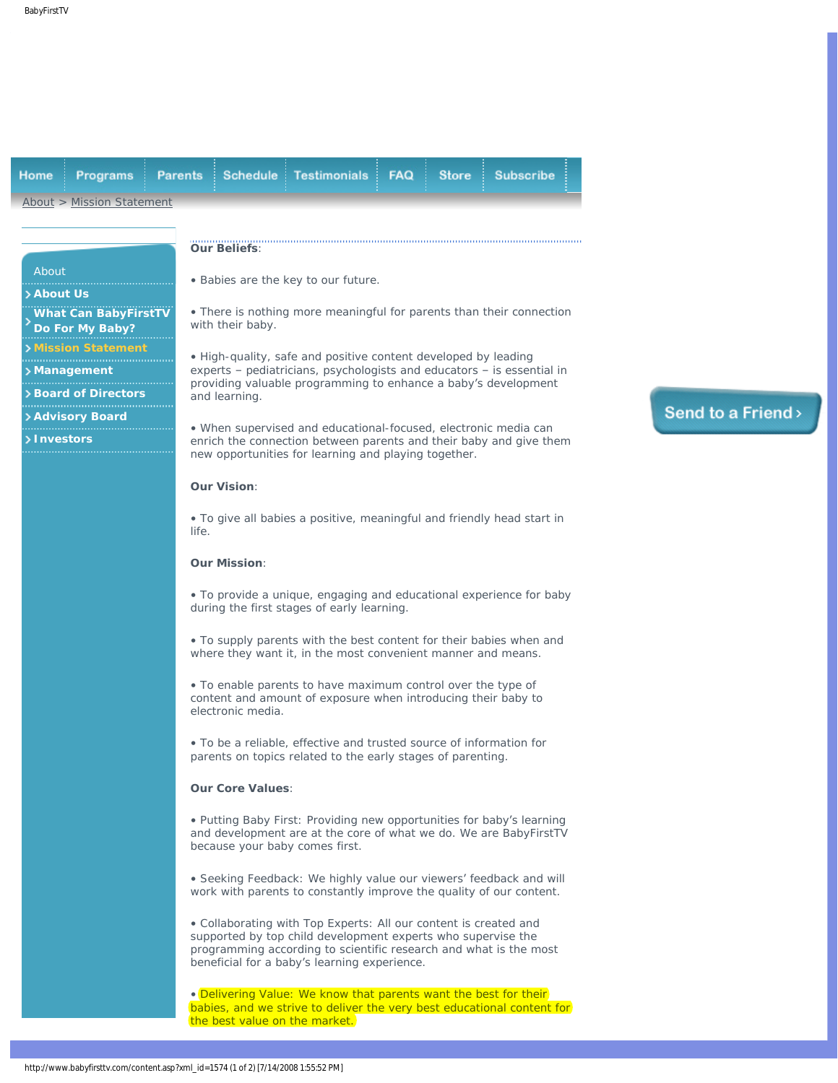<span id="page-0-0"></span>

| Home<br>Programs                                                 | <b>Parents</b><br><b>Schedule</b>                                                                                                                                           | <b>Testimonials</b>                                                                                                                                                                                                                                   | <b>FAQ</b> | <b>Store</b> | <b>Subscribe</b> |  |
|------------------------------------------------------------------|-----------------------------------------------------------------------------------------------------------------------------------------------------------------------------|-------------------------------------------------------------------------------------------------------------------------------------------------------------------------------------------------------------------------------------------------------|------------|--------------|------------------|--|
| About > Mission Statement                                        |                                                                                                                                                                             |                                                                                                                                                                                                                                                       |            |              |                  |  |
|                                                                  | <b>Our Beliefs:</b>                                                                                                                                                         |                                                                                                                                                                                                                                                       |            |              |                  |  |
| About<br>> About Us                                              |                                                                                                                                                                             | . Babies are the key to our future.                                                                                                                                                                                                                   |            |              |                  |  |
| <b>What Can BabyFirstTV</b><br>Do For My Baby?                   | with their baby.                                                                                                                                                            | • There is nothing more meaningful for parents than their connection                                                                                                                                                                                  |            |              |                  |  |
| <b>Mission Statement</b><br>> Management<br>> Board of Directors | and learning.                                                                                                                                                               | • High-quality, safe and positive content developed by leading<br>experts - pediatricians, psychologists and educators - is essential in<br>providing valuable programming to enhance a baby's development                                            |            |              |                  |  |
| > Advisory Board<br>> Investors                                  |                                                                                                                                                                             | • When supervised and educational-focused, electronic media can<br>enrich the connection between parents and their baby and give them<br>new opportunities for learning and playing together.                                                         |            |              |                  |  |
|                                                                  | <b>Our Vision:</b>                                                                                                                                                          |                                                                                                                                                                                                                                                       |            |              |                  |  |
|                                                                  | life.                                                                                                                                                                       | • To give all babies a positive, meaningful and friendly head start in                                                                                                                                                                                |            |              |                  |  |
|                                                                  | <b>Our Mission:</b>                                                                                                                                                         |                                                                                                                                                                                                                                                       |            |              |                  |  |
|                                                                  | • To provide a unique, engaging and educational experience for baby<br>during the first stages of early learning.                                                           |                                                                                                                                                                                                                                                       |            |              |                  |  |
|                                                                  | • To supply parents with the best content for their babies when and<br>where they want it, in the most convenient manner and means.                                         |                                                                                                                                                                                                                                                       |            |              |                  |  |
|                                                                  | electronic media.                                                                                                                                                           | • To enable parents to have maximum control over the type of<br>content and amount of exposure when introducing their baby to                                                                                                                         |            |              |                  |  |
|                                                                  |                                                                                                                                                                             | • To be a reliable, effective and trusted source of information for<br>parents on topics related to the early stages of parenting.                                                                                                                    |            |              |                  |  |
|                                                                  |                                                                                                                                                                             | <b>Our Core Values:</b>                                                                                                                                                                                                                               |            |              |                  |  |
|                                                                  |                                                                                                                                                                             | • Putting Baby First: Providing new opportunities for baby's learning<br>and development are at the core of what we do. We are BabyFirstTV<br>because your baby comes first.                                                                          |            |              |                  |  |
|                                                                  |                                                                                                                                                                             | · Seeking Feedback: We highly value our viewers' feedback and will<br>work with parents to constantly improve the quality of our content.                                                                                                             |            |              |                  |  |
|                                                                  |                                                                                                                                                                             | • Collaborating with Top Experts: All our content is created and<br>supported by top child development experts who supervise the<br>programming according to scientific research and what is the most<br>beneficial for a baby's learning experience. |            |              |                  |  |
|                                                                  | . Delivering Value: We know that parents want the best for their<br>babies, and we strive to deliver the very best educational content for<br>the best value on the market. |                                                                                                                                                                                                                                                       |            |              |                  |  |

## Send to a Friend>